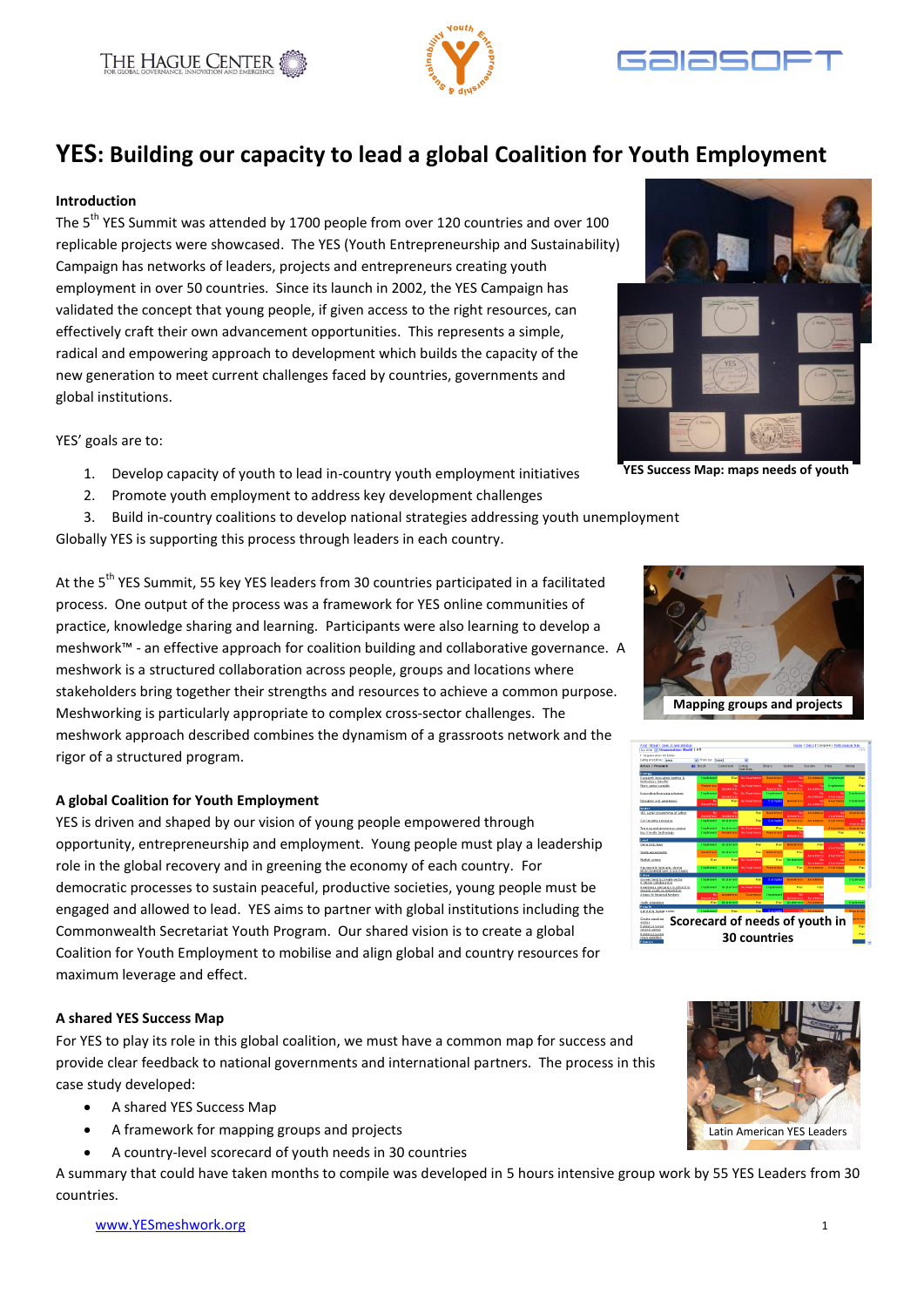





# **YES: Building our capacity to lead a global Coalition for Youth Employment**

#### **Introduction**

The 5<sup>th</sup> YES Summit was attended by 1700 people from over 120 countries and over 100 replicable projects were showcased. The YES (Youth Entrepreneurship and Sustainability) Campaign has networks of leaders, projects and entrepreneurs creating youth employment in over 50 countries. Since its launch in 2002, the YES Campaign has validated the concept that young people, if given access to the right resources, can effectively craft their own advancement opportunities. This represents a simple, radical and empowering approach to development which builds the capacity of the new generation to meet current challenges faced by countries, governments and global institutions.

YES' goals are to:

- 1. Develop capacity of youth to lead in-country youth employment initiatives
- 2. Promote youth employment to address key development challenges
- 3. Build in-country coalitions to develop national strategies addressing youth unemployment

Globally YES is supporting this process through leaders in each country.

**YES Success Map: maps needs of youth**

At the 5<sup>th</sup> YES Summit, 55 key YES leaders from 30 countries participated in a facilitated process. One output of the process was a framework for YES online communities of practice, knowledge sharing and learning. Participants were also learning to develop a meshwork™ - an effective approach for coalition building and collaborative governance. A meshwork is a structured collaboration across people, groups and locations where stakeholders bring together their strengths and resources to achieve a common purpose. Meshworking is particularly appropriate to complex cross-sector challenges. The meshwork approach described combines the dynamism of a grassroots network and the rigor of a structured program.

#### **A global Coalition for Youth Employment**

YES is driven and shaped by our vision of young people empowered through opportunity, entrepreneurship and employment. Young people must play a leadership role in the global recovery and in greening the economy of each country. For democratic processes to sustain peaceful, productive societies, young people must be engaged and allowed to lead. YES aims to partner with global institutions including the Commonwealth Secretariat Youth Program. Our shared vision is to create a global Coalition for Youth Employment to mobilise and align global and country resources for maximum leverage and effect.

#### **A shared YES Success Map**

For YES to play its role in this global coalition, we must have a common map for success and provide clear feedback to national governments and international partners. The process in this case study developed:

- A shared YES Success Map
- A framework for mapping groups and projects
- A country-level scorecard of youth needs in 30 countries

A summary that could have taken months to compile was developed in 5 hours intensive group work by 55 YES Leaders from 30 countries.





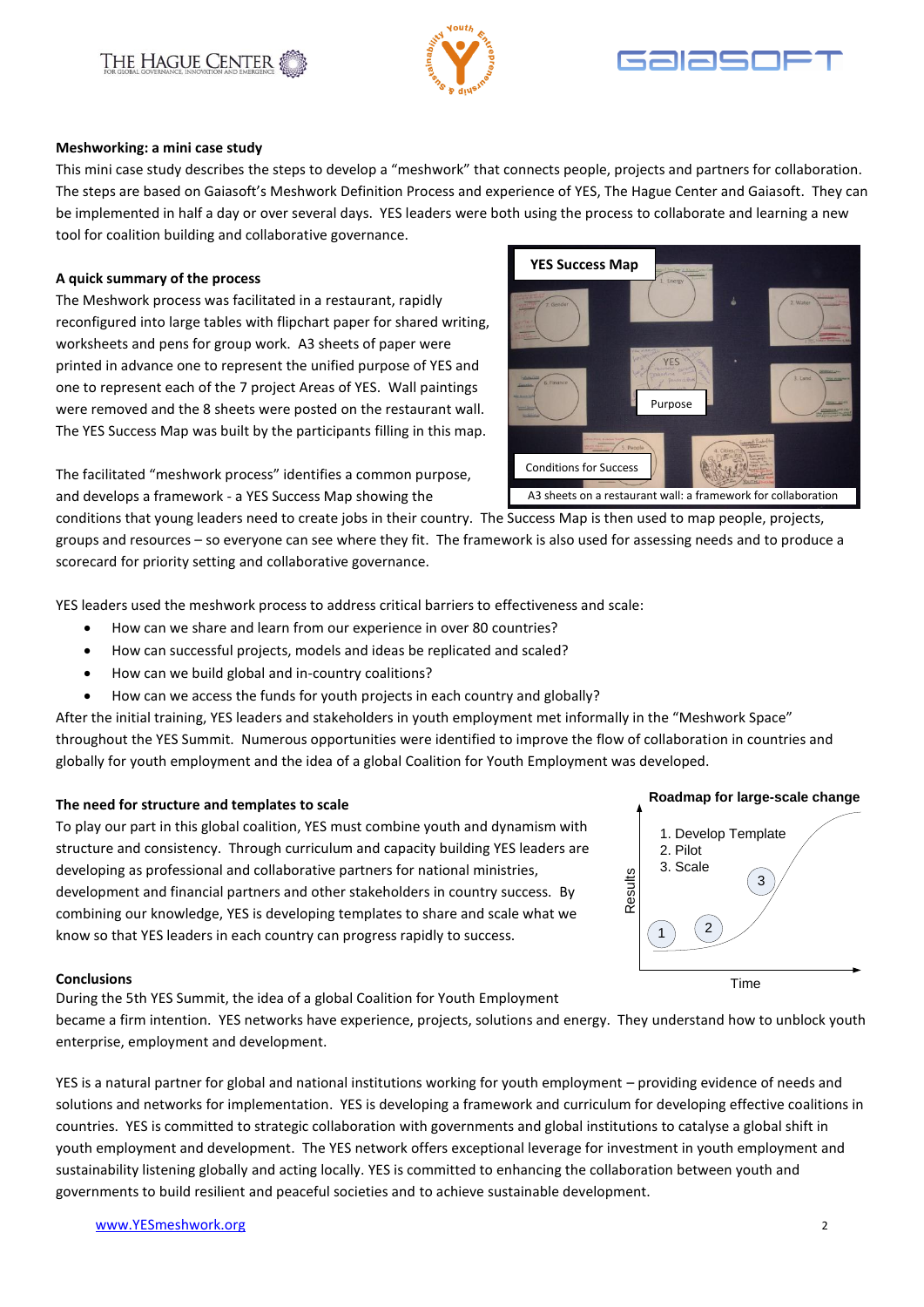# reconfigured into large tables with flipchart paper for shared writing,

The Meshwork process was facilitated in a restaurant, rapidly

worksheets and pens for group work. A3 sheets of paper were printed in advance one to represent the unified purpose of YES and one to represent each of the 7 project Areas of YES. Wall paintings were removed and the 8 sheets were posted on the restaurant wall. The YES Success Map was built by the participants filling in this map.

and develops a framework - a YES Success Map showing the

conditions that young leaders need to create jobs in their country. The Success Map is then used to map people, projects, groups and resources – so everyone can see where they fit. The framework is also used for assessing needs and to produce a scorecard for priority setting and collaborative governance.

YES leaders used the meshwork process to address critical barriers to effectiveness and scale:

- How can we share and learn from our experience in over 80 countries?
- How can successful projects, models and ideas be replicated and scaled?
- How can we build global and in-country coalitions?
- How can we access the funds for youth projects in each country and globally?

throughout the YES Summit. Numerous opportunities were identified to improve the flow of collaboration in countries and

# **The need for structure and templates to scale**

To play our part in this global coalition, YES must combine youth and dynamism with structure and consistency. Through curriculum and capacity building YES leaders are developing as professional and collaborative partners for national ministries, development and financial partners and other stakeholders in country success. By combining our knowledge, YES is developing templates to share and scale what we know so that YES leaders in each country can progress rapidly to success.

### **Conclusions** During the 5th YES Summit, the idea of a global Coalition for Youth Employment

became a firm intention. YES networks have experience, projects, solutions and energy. They understand how to unblock youth enterprise, employment and development.

YES is a natural partner for global and national institutions working for youth employment – providing evidence of needs and solutions and networks for implementation. YES is developing a framework and curriculum for developing effective coalitions in countries. YES is committed to strategic collaboration with governments and global institutions to catalyse a global shift in youth employment and development. The YES network offers exceptional leverage for investment in youth employment and sustainability listening globally and acting locally. YES is committed to enhancing the collaboration between youth and governments to build resilient and peaceful societies and to achieve sustainable development.

# **Meshworking: a mini case study**

THE HAGUE CENTER

This mini case study describes the steps to develop a "meshwork" that connects people, projects and partners for collaboration. The steps are based on Gaiasoft's Meshwork Definition Process and experience of YES, The Hague Center and Gaiasoft. They can be implemented in half a day or over several days. YES leaders were both using the process to collaborate and learning a new tool for coalition building and collaborative governance.

## **A quick summary of the process**

The facilitated "meshwork process" identifies a common purpose,

After the initial training, YES leaders and stakeholders in youth employment met informally in the "Meshwork Space" globally for youth employment and the idea of a global Coalition for Youth Employment was developed.





**YES Success Map**

A3 sheets on a restaurant wall: a framework for collaboration